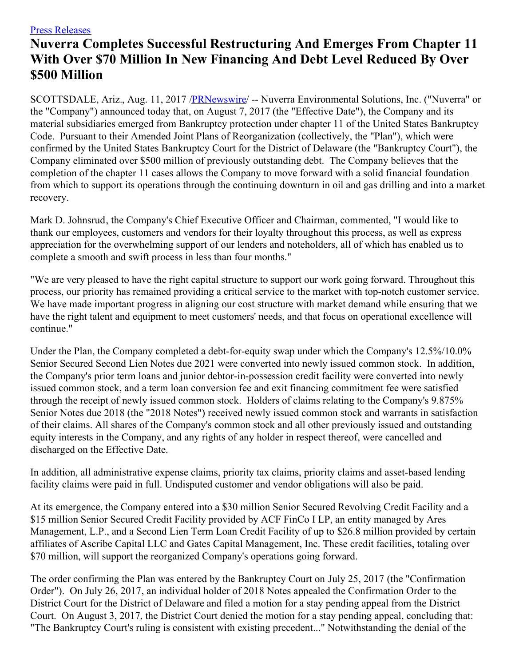## Press [Releases](http://ir.nuverra.com/press-releases)

## **Nuverra Completes Successful Restructuring And Emerges From Chapter 11 With Over \$70 Million In New Financing And Debt Level Reduced By Over \$500 Million**

SCOTTSDALE, Ariz., Aug. 11, 2017 [/PRNewswire](http://www.prnewswire.com/)/ -- Nuverra Environmental Solutions, Inc. ("Nuverra" or the "Company") announced today that, on August 7, 2017 (the "Effective Date"), the Company and its material subsidiaries emerged from Bankruptcy protection under chapter 11 of the United States Bankruptcy Code. Pursuant to their Amended Joint Plans of Reorganization (collectively, the "Plan"), which were confirmed by the United States Bankruptcy Court for the District of Delaware (the "Bankruptcy Court"), the Company eliminated over \$500 million of previously outstanding debt. The Company believes that the completion of the chapter 11 cases allows the Company to move forward with a solid financial foundation from which to support its operations through the continuing downturn in oil and gas drilling and into a market recovery.

Mark D. Johnsrud, the Company's Chief Executive Officer and Chairman, commented, "I would like to thank our employees, customers and vendors for their loyalty throughout this process, as well as express appreciation for the overwhelming support of our lenders and noteholders, all of which has enabled us to complete a smooth and swift process in less than four months."

"We are very pleased to have the right capital structure to support our work going forward. Throughout this process, our priority has remained providing a critical service to the market with top-notch customer service. We have made important progress in aligning our cost structure with market demand while ensuring that we have the right talent and equipment to meet customers' needs, and that focus on operational excellence will continue."

Under the Plan, the Company completed a debt-for-equity swap under which the Company's 12.5%/10.0% Senior Secured Second Lien Notes due 2021 were converted into newly issued common stock. In addition, the Company's prior term loans and junior debtor-in-possession credit facility were converted into newly issued common stock, and a term loan conversion fee and exit financing commitment fee were satisfied through the receipt of newly issued common stock. Holders of claims relating to the Company's 9.875% Senior Notes due 2018 (the "2018 Notes") received newly issued common stock and warrants in satisfaction of their claims. All shares of the Company's common stock and all other previously issued and outstanding equity interests in the Company, and any rights of any holder in respect thereof, were cancelled and discharged on the Effective Date.

In addition, all administrative expense claims, priority tax claims, priority claims and asset-based lending facility claims were paid in full. Undisputed customer and vendor obligations will also be paid.

At its emergence, the Company entered into a \$30 million Senior Secured Revolving Credit Facility and a \$15 million Senior Secured Credit Facility provided by ACF FinCo I LP, an entity managed by Ares Management, L.P., and a Second Lien Term Loan Credit Facility of up to \$26.8 million provided by certain affiliates of Ascribe Capital LLC and Gates Capital Management, Inc. These credit facilities, totaling over \$70 million, will support the reorganized Company's operations going forward.

The order confirming the Plan was entered by the Bankruptcy Court on July 25, 2017 (the "Confirmation Order"). On July 26, 2017, an individual holder of 2018 Notes appealed the Confirmation Order to the District Court for the District of Delaware and filed a motion for a stay pending appeal from the District Court. On August 3, 2017, the District Court denied the motion for a stay pending appeal, concluding that: "The Bankruptcy Court's ruling is consistent with existing precedent..." Notwithstanding the denial of the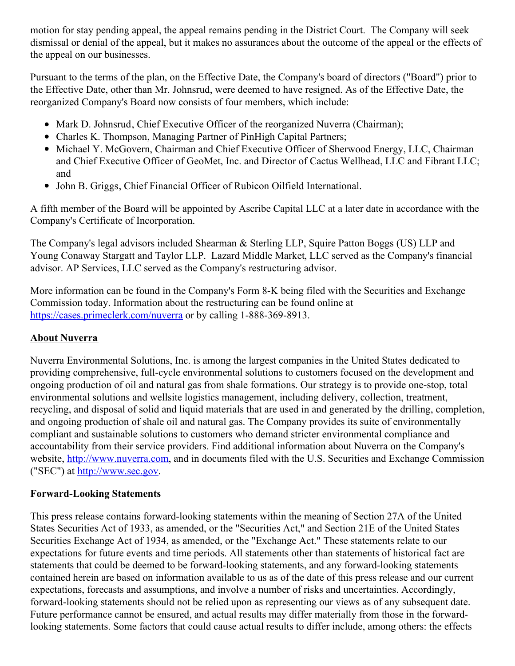motion for stay pending appeal, the appeal remains pending in the District Court. The Company will seek dismissal or denial of the appeal, but it makes no assurances about the outcome of the appeal or the effects of the appeal on our businesses.

Pursuant to the terms of the plan, on the Effective Date, the Company's board of directors ("Board") prior to the Effective Date, other than Mr. Johnsrud, were deemed to have resigned. As of the Effective Date, the reorganized Company's Board now consists of four members, which include:

- Mark D. Johnsrud, Chief Executive Officer of the reorganized Nuverra (Chairman);
- Charles K. Thompson, Managing Partner of PinHigh Capital Partners;
- Michael Y. McGovern, Chairman and Chief Executive Officer of Sherwood Energy, LLC, Chairman and Chief Executive Officer of GeoMet, Inc. and Director of Cactus Wellhead, LLC and Fibrant LLC; and
- John B. Griggs, Chief Financial Officer of Rubicon Oilfield International.

A fifth member of the Board will be appointed by Ascribe Capital LLC at a later date in accordance with the Company's Certificate of Incorporation.

The Company's legal advisors included Shearman & Sterling LLP, Squire Patton Boggs (US) LLP and Young Conaway Stargatt and Taylor LLP. Lazard Middle Market, LLC served as the Company's financial advisor. AP Services, LLC served as the Company's restructuring advisor.

More information can be found in the Company's Form 8-K being filed with the Securities and Exchange Commission today. Information about the restructuring can be found online at <https://cases.primeclerk.com/nuverra> or by calling 1-888-369-8913.

## **About Nuverra**

Nuverra Environmental Solutions, Inc. is among the largest companies in the United States dedicated to providing comprehensive, full-cycle environmental solutions to customers focused on the development and ongoing production of oil and natural gas from shale formations. Our strategy is to provide one-stop, total environmental solutions and wellsite logistics management, including delivery, collection, treatment, recycling, and disposal of solid and liquid materials that are used in and generated by the drilling, completion, and ongoing production of shale oil and natural gas. The Company provides its suite of environmentally compliant and sustainable solutions to customers who demand stricter environmental compliance and accountability from their service providers. Find additional information about Nuverra on the Company's website, [http://www.nuverra.com](http://www.nuverra.com/), and in documents filed with the U.S. Securities and Exchange Commission ("SEC") at [http://www.sec.gov](http://www.sec.gov/).

## **Forward-Looking Statements**

This press release contains forward-looking statements within the meaning of Section 27A of the United States Securities Act of 1933, as amended, or the "Securities Act," and Section 21E of the United States Securities Exchange Act of 1934, as amended, or the "Exchange Act." These statements relate to our expectations for future events and time periods. All statements other than statements of historical fact are statements that could be deemed to be forward-looking statements, and any forward-looking statements contained herein are based on information available to us as of the date of this press release and our current expectations, forecasts and assumptions, and involve a number of risks and uncertainties. Accordingly, forward-looking statements should not be relied upon as representing our views as of any subsequent date. Future performance cannot be ensured, and actual results may differ materially from those in the forwardlooking statements. Some factors that could cause actual results to differ include, among others: the effects